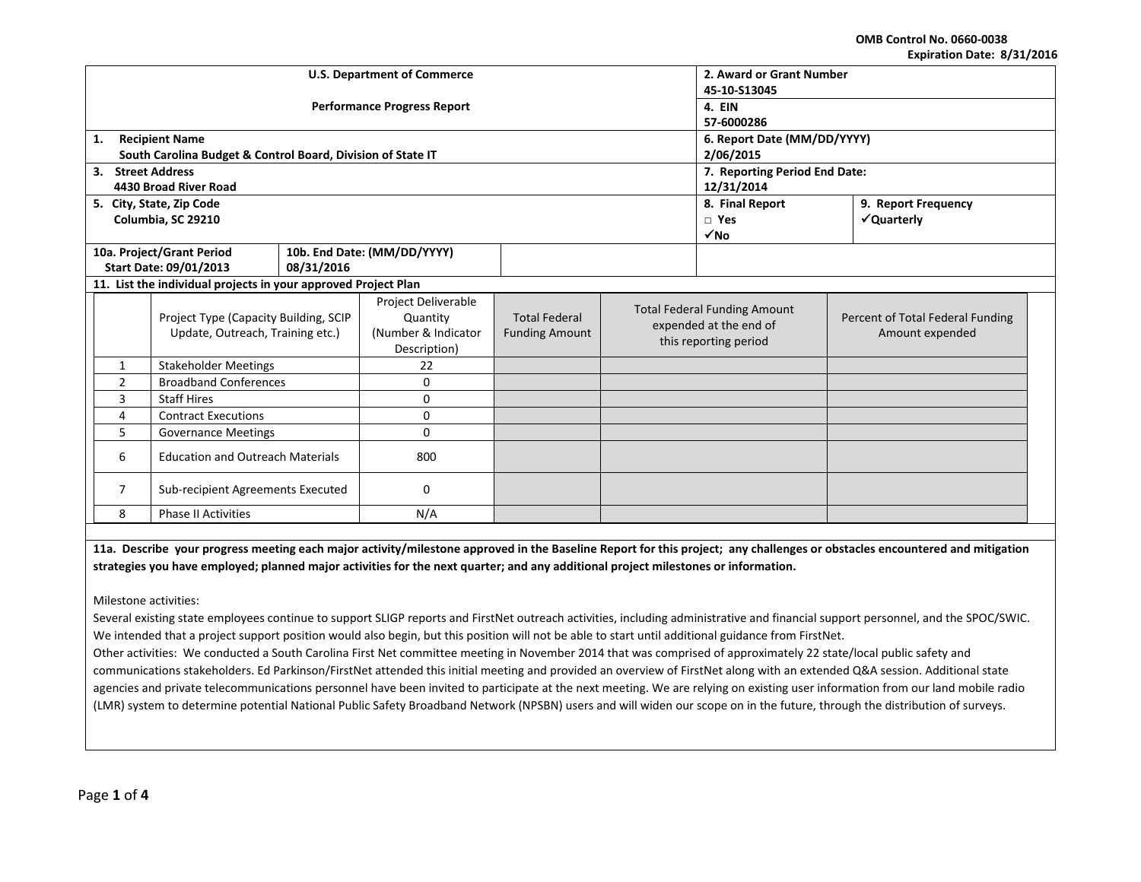**OMB Control No. 0660‐0038 Expiration Date: 8/31/2016**

| LAPITANUM DAIC. UJ JIJ LUIU                    |                                                                |                                    |                               |                      |                       |                                     |                                  |  |
|------------------------------------------------|----------------------------------------------------------------|------------------------------------|-------------------------------|----------------------|-----------------------|-------------------------------------|----------------------------------|--|
|                                                |                                                                | <b>U.S. Department of Commerce</b> | 2. Award or Grant Number      |                      |                       |                                     |                                  |  |
|                                                |                                                                |                                    | 45-10-S13045                  |                      |                       |                                     |                                  |  |
|                                                |                                                                | <b>Performance Progress Report</b> | 4. EIN                        |                      |                       |                                     |                                  |  |
|                                                |                                                                |                                    | 57-6000286                    |                      |                       |                                     |                                  |  |
| 1.                                             | <b>Recipient Name</b>                                          |                                    | 6. Report Date (MM/DD/YYYY)   |                      |                       |                                     |                                  |  |
|                                                | South Carolina Budget & Control Board, Division of State IT    |                                    | 2/06/2015                     |                      |                       |                                     |                                  |  |
| 3. Street Address                              |                                                                |                                    | 7. Reporting Period End Date: |                      |                       |                                     |                                  |  |
|                                                | 4430 Broad River Road                                          |                                    |                               | 12/31/2014           |                       |                                     |                                  |  |
|                                                | 5. City, State, Zip Code                                       |                                    |                               |                      |                       | 8. Final Report                     | 9. Report Frequency              |  |
|                                                | Columbia, SC 29210                                             |                                    |                               |                      |                       | $\square$ Yes                       | √Quarterly                       |  |
|                                                |                                                                |                                    |                               |                      |                       | $\sqrt{NQ}$                         |                                  |  |
|                                                | 10a. Project/Grant Period                                      |                                    | 10b. End Date: (MM/DD/YYYY)   |                      |                       |                                     |                                  |  |
|                                                | Start Date: 09/01/2013                                         | 08/31/2016                         |                               |                      |                       |                                     |                                  |  |
|                                                | 11. List the individual projects in your approved Project Plan |                                    |                               |                      |                       |                                     |                                  |  |
|                                                |                                                                |                                    | Project Deliverable           |                      |                       | <b>Total Federal Funding Amount</b> |                                  |  |
|                                                | Project Type (Capacity Building, SCIP                          |                                    | Quantity                      | <b>Total Federal</b> |                       | expended at the end of              | Percent of Total Federal Funding |  |
| Update, Outreach, Training etc.)               |                                                                | (Number & Indicator                | <b>Funding Amount</b>         |                      | this reporting period | Amount expended                     |                                  |  |
|                                                |                                                                | Description)                       |                               |                      |                       |                                     |                                  |  |
| <b>Stakeholder Meetings</b><br>$\mathbf{1}$    |                                                                | 22                                 |                               |                      |                       |                                     |                                  |  |
| <b>Broadband Conferences</b><br>$\overline{2}$ |                                                                |                                    | $\mathbf{0}$                  |                      |                       |                                     |                                  |  |
| 3                                              | <b>Staff Hires</b>                                             |                                    | $\mathbf{0}$                  |                      |                       |                                     |                                  |  |
| <b>Contract Executions</b><br>4                |                                                                |                                    | 0                             |                      |                       |                                     |                                  |  |
| 5.<br><b>Governance Meetings</b>               |                                                                |                                    | $\Omega$                      |                      |                       |                                     |                                  |  |
| <b>Education and Outreach Materials</b><br>6   |                                                                |                                    | 800                           |                      |                       |                                     |                                  |  |
|                                                |                                                                |                                    |                               |                      |                       |                                     |                                  |  |
| Sub-recipient Agreements Executed<br>7         |                                                                |                                    | $\mathbf{0}$                  |                      |                       |                                     |                                  |  |
| 8<br><b>Phase II Activities</b><br>N/A         |                                                                |                                    |                               |                      |                       |                                     |                                  |  |

11a. Describe your progress meeting each major activity/milestone approved in the Baseline Report for this project; any challenges or obstacles encountered and mitigation strategies you have employed; planned major activities for the next quarter; and any additional project milestones or information.

Milestone activities:

Several existing state employees continue to support SLIGP reports and FirstNet outreach activities, including administrative and financial support personnel, and the SPOC/SWIC. We intended that <sup>a</sup> project support position would also begin, but this position will not be able to start until additional guidance from FirstNet.

Other activities: We conducted <sup>a</sup> South Carolina First Net committee meeting in November 2014 that was comprised of approximately 22 state/local public safety and communications stakeholders. Ed Parkinson/FirstNet attended this initial meeting and provided an overview of FirstNet along with an extended Q&A session. Additional state agencies and private telecommunications personnel have been invited to participate at the next meeting. We are relying on existing user information from our land mobile radio (LMR) system to determine potential National Public Safety Broadband Network (NPSBN) users and will widen our scope on in the future, through the distribution of surveys.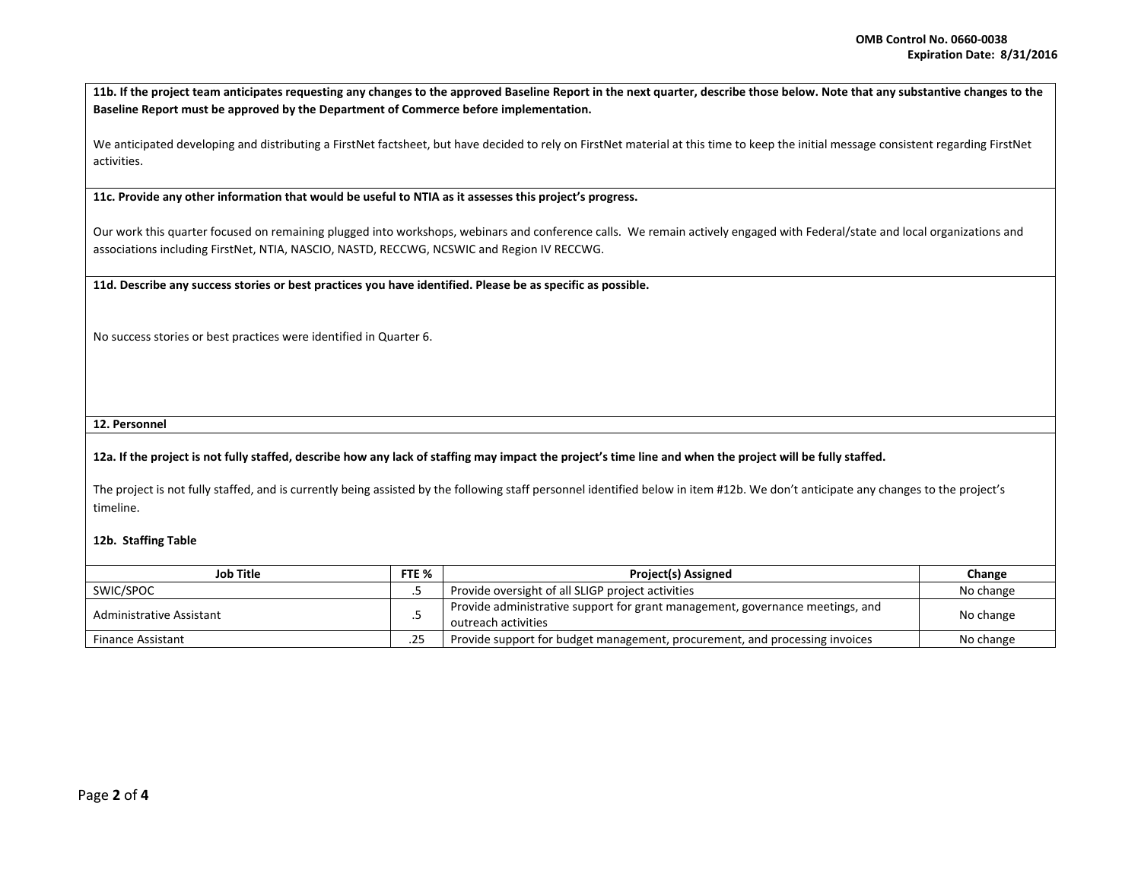11b. If the project team anticipates requesting any changes to the approved Baseline Report in the next quarter, describe those below. Note that any substantive changes to the **Baseline Report must be approved by the Department of Commerce before implementation.**

We anticipated developing and distributing <sup>a</sup> FirstNet factsheet, but have decided to rely on FirstNet material at this time to keep the initial message consistent regarding FirstNet activities.

**11c. Provide any other information that would be useful to NTIA as it assesses this project's progress.**

Our work this quarter focused on remaining plugged into workshops, webinars and conference calls. We remain actively engaged with Federal/state and local organizations and associations including FirstNet, NTIA, NASCIO, NASTD, RECCWG, NCSWIC and Region IV RECCWG.

11d. Describe any success stories or best practices you have identified. Please be as specific as possible.

No success stories or best practices were identified in Quarter 6.

**12. Personnel**

## 12a. If the project is not fully staffed, describe how any lack of staffing may impact the project's time line and when the project will be fully staffed.

The project is not fully staffed, and is currently being assisted by the following staff personnel identified below in item #12b. We don't anticipate any changes to the project's timeline.

## **12b. Staffing Table**

| <b>Job Title</b>         |     | <b>Project(s) Assigned</b>                                                                           | Change    |
|--------------------------|-----|------------------------------------------------------------------------------------------------------|-----------|
| SWIC/SPOC                |     | Provide oversight of all SLIGP project activities                                                    | No change |
| Administrative Assistant |     | Provide administrative support for grant management, governance meetings, and<br>outreach activities | No change |
| <b>Finance Assistant</b> | .25 | Provide support for budget management, procurement, and processing invoices                          | No change |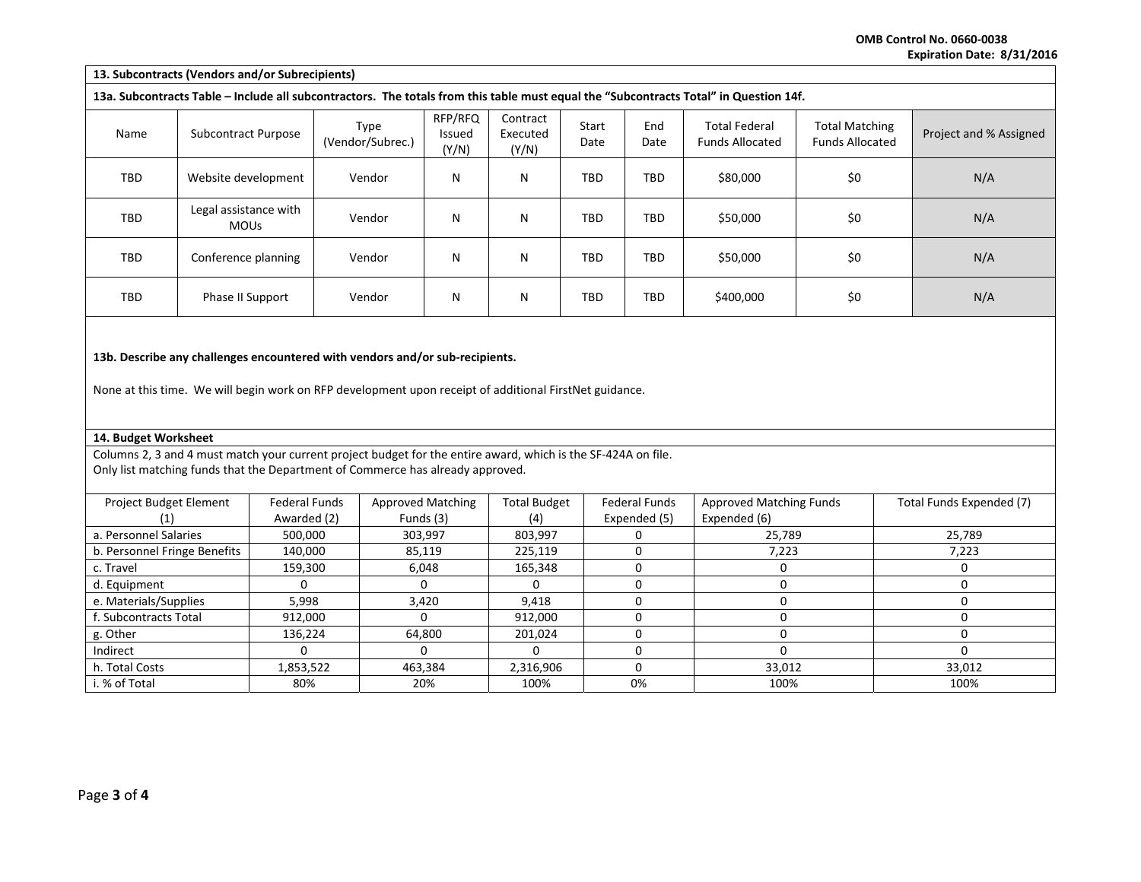**OMB Control No. 0660‐0038 Expiration Date: 8/31/2016**

| 13. Subcontracts (Vendors and/or Subrecipients)                                                                                                                                        |                                      |                          |                            |                               |                     |             |                                                |                                                 |                        |                          |
|----------------------------------------------------------------------------------------------------------------------------------------------------------------------------------------|--------------------------------------|--------------------------|----------------------------|-------------------------------|---------------------|-------------|------------------------------------------------|-------------------------------------------------|------------------------|--------------------------|
| 13a. Subcontracts Table – Include all subcontractors. The totals from this table must equal the "Subcontracts Total" in Question 14f.                                                  |                                      |                          |                            |                               |                     |             |                                                |                                                 |                        |                          |
| <b>Subcontract Purpose</b><br>Name                                                                                                                                                     |                                      | Type<br>(Vendor/Subrec.) | RFP/RFQ<br>Issued<br>(Y/N) | Contract<br>Executed<br>(Y/N) | Start<br>Date       | End<br>Date | <b>Total Federal</b><br><b>Funds Allocated</b> | <b>Total Matching</b><br><b>Funds Allocated</b> | Project and % Assigned |                          |
| TBD<br>Website development                                                                                                                                                             |                                      | Vendor                   | N                          | N                             | <b>TBD</b>          | TBD         | \$80,000                                       | \$0                                             | N/A                    |                          |
| TBD                                                                                                                                                                                    | Legal assistance with<br><b>MOUs</b> |                          | Vendor                     | N                             | N                   | TBD         | TBD                                            | \$50,000                                        | \$0                    | N/A                      |
| TBD                                                                                                                                                                                    | Conference planning                  |                          | Vendor                     | N                             | N                   | TBD         | <b>TBD</b>                                     | \$50,000                                        | \$0                    | N/A                      |
| <b>TBD</b><br>Phase II Support                                                                                                                                                         |                                      |                          | Vendor                     | N                             | N                   | <b>TBD</b>  | TBD                                            | \$400,000                                       | \$0                    | N/A                      |
| 13b. Describe any challenges encountered with vendors and/or sub-recipients.<br>None at this time. We will begin work on RFP development upon receipt of additional FirstNet guidance. |                                      |                          |                            |                               |                     |             |                                                |                                                 |                        |                          |
| 14. Budget Worksheet                                                                                                                                                                   |                                      |                          |                            |                               |                     |             |                                                |                                                 |                        |                          |
| Columns 2, 3 and 4 must match your current project budget for the entire award, which is the SF-424A on file.                                                                          |                                      |                          |                            |                               |                     |             |                                                |                                                 |                        |                          |
| Only list matching funds that the Department of Commerce has already approved.                                                                                                         |                                      |                          |                            |                               |                     |             |                                                |                                                 |                        |                          |
| Project Budget Element                                                                                                                                                                 |                                      | <b>Federal Funds</b>     |                            | <b>Approved Matching</b>      | <b>Total Budget</b> |             | <b>Federal Funds</b>                           | Approved Matching Funds                         |                        | Total Funds Expended (7) |
| (1)                                                                                                                                                                                    |                                      | Awarded (2)              |                            | Funds (3)                     | (4)                 |             | Expended (5)                                   | Expended (6)                                    |                        |                          |
| a. Personnel Salaries                                                                                                                                                                  |                                      | 500,000                  | 303,997                    |                               | 803,997             |             | $\Omega$                                       |                                                 | 25,789<br>25,789       |                          |
| b. Personnel Fringe Benefits                                                                                                                                                           |                                      | 140,000                  | 85,119                     |                               | 225,119             |             | $\mathbf 0$                                    |                                                 | 7,223                  |                          |
| c. Travel                                                                                                                                                                              |                                      | 159,300                  | 6,048                      |                               | 165,348             |             | $\mathbf 0$                                    | $\mathbf 0$                                     | $\mathbf 0$            |                          |
| d. Equipment                                                                                                                                                                           |                                      | 0                        |                            | 0                             | 0                   |             | 0                                              | $\mathbf 0$                                     |                        | $\mathbf 0$              |

 Equipment 0 0 0 0 0 0 e. Materials/Supplies | 5,998 | 3,420 | 9,418 | 0 | 0

g. Other | 136,224 | 64,800 | 201,024 | 0 0

% of Total | 80% | 20% | 100% | 100% | 100%

s Total | 912,000 | 0 | 912,000 | 0 | 0 | 0 | 0 | 0

s | 1,853,522 | 463,384 | 2,316,906 | 0 | 33,012 | 33,012

0 0 0 0 0

f. Subcontracts

h. Total Costs

0

Indirect

i. %